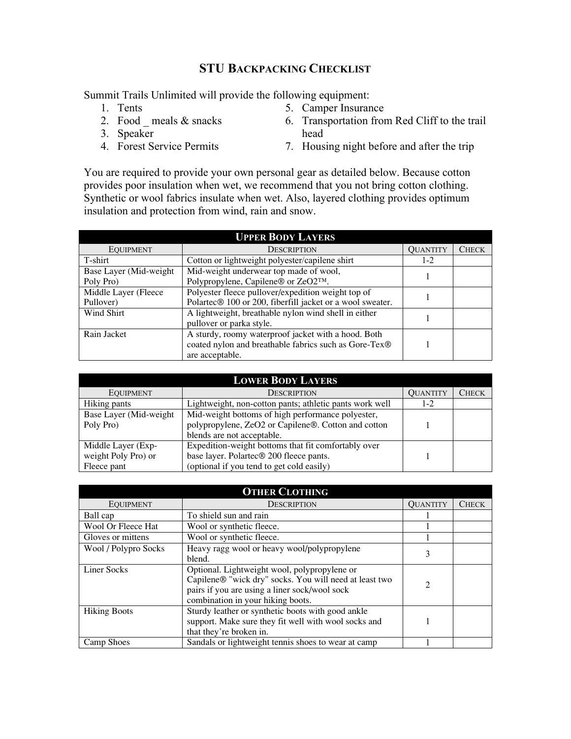## **STU BACKPACKING CHECKLIST**

Summit Trails Unlimited will provide the following equipment:

- 1. Tents 2. Food \_ meals  $&$  snacks
- 5. Camper Insurance
- 6. Transportation from Red Cliff to the trail head
- 3. Speaker 4. Forest Service Permits
- 7. Housing night before and after the trip

You are required to provide your own personal gear as detailed below. Because cotton provides poor insulation when wet, we recommend that you not bring cotton clothing. Synthetic or wool fabrics insulate when wet. Also, layered clothing provides optimum insulation and protection from wind, rain and snow.

| <b>UPPER BODY LAYERS</b>            |                                                                                                                                 |                 |              |  |  |
|-------------------------------------|---------------------------------------------------------------------------------------------------------------------------------|-----------------|--------------|--|--|
| <b>EQUIPMENT</b>                    | <b>DESCRIPTION</b>                                                                                                              | <b>QUANTITY</b> | <b>CHECK</b> |  |  |
| T-shirt                             | Cotton or lightweight polyester/capilene shirt                                                                                  | $1-2$           |              |  |  |
| Base Layer (Mid-weight<br>Poly Pro) | Mid-weight underwear top made of wool,<br>Polypropylene, Capilene® or ZeO2™.                                                    |                 |              |  |  |
| Middle Layer (Fleece<br>Pullover)   | Polyester fleece pullover/expedition weight top of<br>Polartec® 100 or 200, fiberfill jacket or a wool sweater.                 |                 |              |  |  |
| Wind Shirt                          | A lightweight, breathable nylon wind shell in either<br>pullover or parka style.                                                |                 |              |  |  |
| Rain Jacket                         | A sturdy, roomy waterproof jacket with a hood. Both<br>coated nylon and breathable fabrics such as Gore-Tex®<br>are acceptable. |                 |              |  |  |

| <b>LOWER BODY LAYERS</b>                                 |                                                                                                                                             |                 |              |  |  |
|----------------------------------------------------------|---------------------------------------------------------------------------------------------------------------------------------------------|-----------------|--------------|--|--|
| <b>EQUIPMENT</b>                                         | <b>DESCRIPTION</b>                                                                                                                          | <b>QUANTITY</b> | <b>CHECK</b> |  |  |
| Hiking pants                                             | Lightweight, non-cotton pants; athletic pants work well                                                                                     | $1-2$           |              |  |  |
| Base Layer (Mid-weight<br>Poly Pro)                      | Mid-weight bottoms of high performance polyester,<br>polypropylene, ZeO2 or Capilene®. Cotton and cotton<br>blends are not acceptable.      |                 |              |  |  |
| Middle Layer (Exp-<br>weight Poly Pro) or<br>Fleece pant | Expedition-weight bottoms that fit comfortably over<br>base layer. Polartec® 200 fleece pants.<br>(optional if you tend to get cold easily) |                 |              |  |  |

| <b>OTHER CLOTHING</b> |                                                                                                                                                                                              |                 |              |  |
|-----------------------|----------------------------------------------------------------------------------------------------------------------------------------------------------------------------------------------|-----------------|--------------|--|
| <b>EQUIPMENT</b>      | <b>DESCRIPTION</b>                                                                                                                                                                           | <b>OUANTITY</b> | <b>CHECK</b> |  |
| Ball cap              | To shield sun and rain                                                                                                                                                                       |                 |              |  |
| Wool Or Fleece Hat    | Wool or synthetic fleece.                                                                                                                                                                    |                 |              |  |
| Gloves or mittens     | Wool or synthetic fleece.                                                                                                                                                                    |                 |              |  |
| Wool / Polypro Socks  | Heavy ragg wool or heavy wool/polypropylene<br>blend.                                                                                                                                        | 3               |              |  |
| <b>Liner Socks</b>    | Optional. Lightweight wool, polypropylene or<br>Capilene® "wick dry" socks. You will need at least two<br>pairs if you are using a liner sock/wool sock<br>combination in your hiking boots. | $\mathfrak{D}$  |              |  |
| <b>Hiking Boots</b>   | Sturdy leather or synthetic boots with good ankle<br>support. Make sure they fit well with wool socks and<br>that they're broken in.                                                         |                 |              |  |
| Camp Shoes            | Sandals or lightweight tennis shoes to wear at camp                                                                                                                                          |                 |              |  |